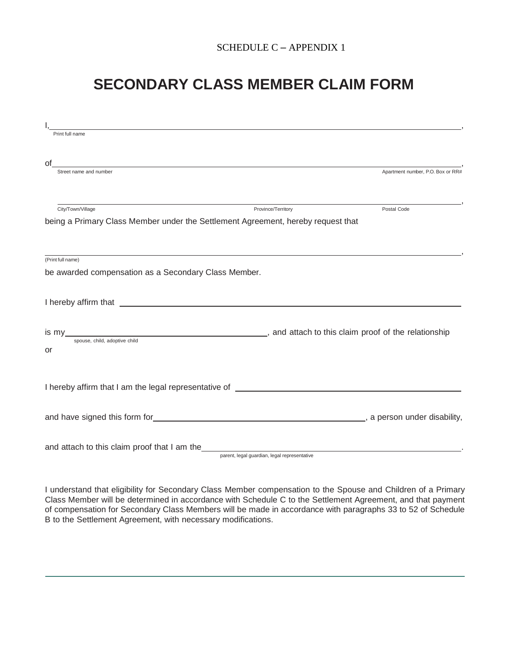## SCHEDULE C – APPENDIX 1

## **SECONDARY CLASS MEMBER CLAIM FORM**

| Print full name                                                                                                                                      |                                                                                                                                                                                                                                |                                   |  |
|------------------------------------------------------------------------------------------------------------------------------------------------------|--------------------------------------------------------------------------------------------------------------------------------------------------------------------------------------------------------------------------------|-----------------------------------|--|
| Οt<br><u> 1989 - Jan Barbara de Santo de Santo de Santo de Santo de Santo de Santo de Santo de Santo de Santo de Santo</u><br>Street name and number |                                                                                                                                                                                                                                | Apartment number, P.O. Box or RR# |  |
| City/Town/Village                                                                                                                                    | Province/Territory<br>being a Primary Class Member under the Settlement Agreement, hereby request that                                                                                                                         | Postal Code                       |  |
| (Print full name)<br>be awarded compensation as a Secondary Class Member.                                                                            |                                                                                                                                                                                                                                |                                   |  |
|                                                                                                                                                      | I hereby affirm that electron and the state of the state of the state of the state of the state of the state of the state of the state of the state of the state of the state of the state of the state of the state of the st |                                   |  |
| spouse, child, adoptive child<br>or                                                                                                                  |                                                                                                                                                                                                                                |                                   |  |
|                                                                                                                                                      |                                                                                                                                                                                                                                |                                   |  |
|                                                                                                                                                      |                                                                                                                                                                                                                                |                                   |  |
|                                                                                                                                                      | and attach to this claim proof that I am the example and attach to this claim proof that I am the<br>parent, legal guardian, legal representative                                                                              |                                   |  |

I understand that eligibility for Secondary Class Member compensation to the Spouse and Children of a Primary Class Member will be determined in accordance with Schedule C to the Settlement Agreement, and that payment of compensation for Secondary Class Members will be made in accordance with paragraphs 33 to 52 of Schedule B to the Settlement Agreement, with necessary modifications.